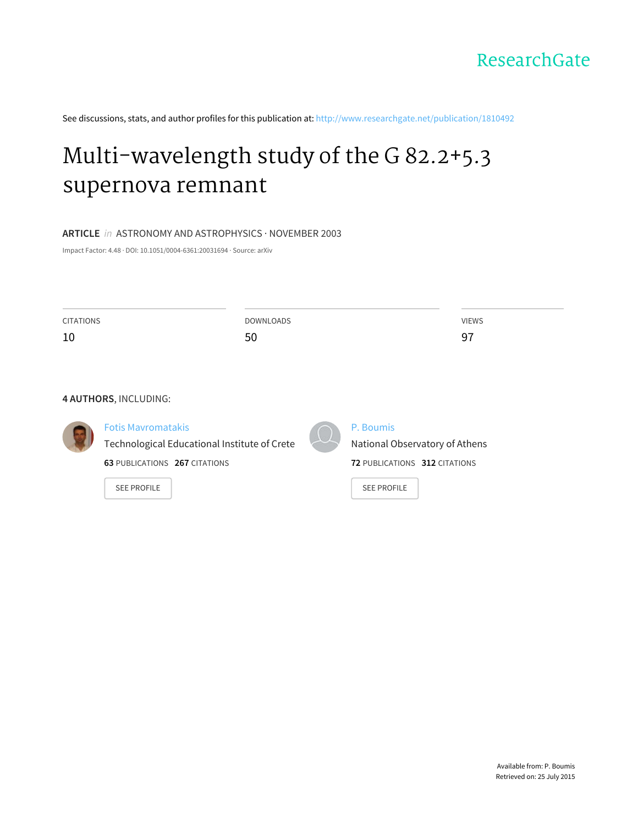

See discussions, stats, and author profiles for this publication at: [http://www.researchgate.net/publication/1810492](http://www.researchgate.net/publication/1810492_Multi-wavelength_study_of_the_G_82.25.3_supernova_remnant?enrichId=rgreq-34a584b5-d60e-4926-983b-5da851b35db8&enrichSource=Y292ZXJQYWdlOzE4MTA0OTI7QVM6MTAzMzg1MDQyNzg0MjU4QDE0MDE2NjAzMjMxODg%3D&el=1_x_2)

# [Multi-wavelength](http://www.researchgate.net/publication/1810492_Multi-wavelength_study_of_the_G_82.25.3_supernova_remnant?enrichId=rgreq-34a584b5-d60e-4926-983b-5da851b35db8&enrichSource=Y292ZXJQYWdlOzE4MTA0OTI7QVM6MTAzMzg1MDQyNzg0MjU4QDE0MDE2NjAzMjMxODg%3D&el=1_x_3) study of the G 82.2+5.3 supernova remnant

## **ARTICLE** in ASTRONOMY AND ASTROPHYSICS · NOVEMBER 2003

Impact Factor: 4.48 · DOI: 10.1051/0004-6361:20031694 · Source: arXiv

| <b>CITATIONS</b> | <b>DOWNLOADS</b>                             |  |                                      |
|------------------|----------------------------------------------|--|--------------------------------------|
| 10               | 50                                           |  | 97                                   |
|                  |                                              |  |                                      |
|                  |                                              |  |                                      |
|                  | 4 AUTHORS, INCLUDING:                        |  |                                      |
|                  | <b>Fotis Mayromatakis</b>                    |  | P. Boumis                            |
|                  | Technological Educational Institute of Crete |  | National Observatory of Athens       |
|                  | <b>63 PUBLICATIONS 267 CITATIONS</b>         |  | <b>72 PUBLICATIONS 312 CITATIONS</b> |
|                  | <b>SEE PROFILE</b>                           |  | <b>SEE PROFILE</b>                   |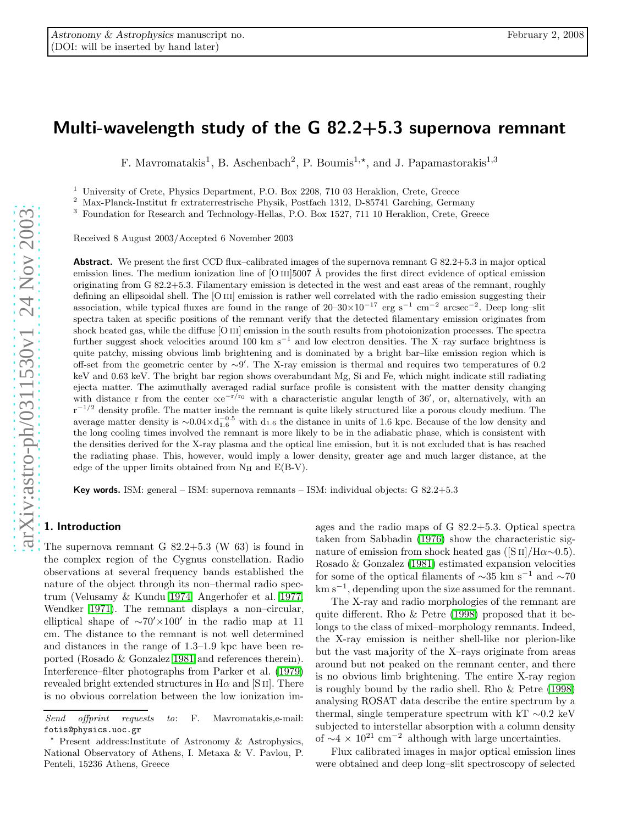## Multi-wavelength study of the G 82.2+5.3 supernova remnant

F. Mavromatakis<sup>1</sup>, B. Aschenbach<sup>2</sup>, P. Boumis<sup>1,\*</sup>, and J. Papamastorakis<sup>1,3</sup>

<sup>1</sup> University of Crete, Physics Department, P.O. Box 2208, 710 03 Heraklion, Crete, Greece<br><sup>2</sup> Max-Planck-Institut fr extraterrestrische Physik, Postfach 1312, D-85741 Garching, Germany<br><sup>3</sup> Foundation for Research and Te

Received 8 August 2003/Accepted 6 November 2003

Abstract. We present the first CCD flux–calibrated images of the supernova remnant G 82.2+5.3 in major optical emission lines. The medium ionization line of [O III]5007 Å provides the first direct evidence of optical emission originating from G 82.2+5.3. Filamentary emission is detected in the west and east areas of the remnant, roughly defining an ellipsoidal shell. The [O III] emission is rather well correlated with the radio emission suggesting their association, while typical fluxes are found in the range of  $20-30\times10^{-17}$  erg s<sup>-1</sup> cm<sup>-2</sup> arcsec<sup>-2</sup>. Deep long-slit spectra taken at specific positions of the remnant verify that the detected filamentary emission originates from shock heated gas, while the diffuse [O iii] emission in the south results from photoionization processes. The spectra further suggest shock velocities around 100 km s<sup>-1</sup> and low electron densities. The X-ray surface brightness is quite patchy, missing obvious limb brightening and is dominated by a bright bar–like emission region which is off-set from the geometric center by ∼ 9 ′ . The X-ray emission is thermal and requires two temperatures of 0.2 keV and 0.63 keV. The bright bar region shows overabundant Mg, Si and Fe, which might indicate still radiating ejecta matter. The azimuthally averaged radial surface profile is consistent with the matter density changing with distance r from the center  $\propto e^{-r/r_0}$  with a characteristic angular length of 36', or, alternatively, with an r<sup>-1/2</sup> density profile. The matter inside the remnant is quite likely structured like a porous cloudy medium. The average matter density is  $\sim 0.04 \times d_{1.6}^{-0.5}$  with  $d_{1.6}$  the distance in units of 1.6 kpc. Because of the low density and the long cooling times involved the remnant is more likely to be in the adiabatic phase, which is consistent with the densities derived for the X-ray plasma and the optical line emission, but it is not excluded that is has reached the radiating phase. This, however, would imply a lower density, greater age and much larger distance, at the edge of the upper limits obtained from  $N_H$  and  $E(B-V)$ .

Key words. ISM: general – ISM: supernova remnants – ISM: individual objects: G 82.2+5.3

## 1. Introduction

The supernova remnant G  $82.2+5.3$  (W 63) is found in the complex region of the Cygnus constellation. Radio observations at several frequency bands established the nature of the object through its non–thermal radio spectrum (Velusamy & Kundu 1974, Angerhofer et al. 1977, Wendker 1971). The remnant displays a non–circular, elliptical shape of  $\sim 70' \times 100'$  in the radio map at 11 cm. The distance to the remnant is not well determined and distances in the range of 1.3–1.9 kpc have been reported (Rosado & Gonzalez 1981 and references therein). Interference–filter photographs from Parker et al. (1979) revealed bright extended structures in  $H\alpha$  and [S II]. There is no obvious correlation between the low ionization images and the radio maps of G 82.2+5.3. Optical spectra taken from Sabbadin (1976) show the characteristic signature of emission from shock heated gas ( $[S II]/H\alpha \sim 0.5$ ). Rosado & Gonzalez (1981) estimated expansion velocities for some of the optical filaments of  $\sim$ 35 km s<sup>-1</sup> and  $\sim$ 70 km s − 1 , depending upon the size assumed for the remnant.

The X-ray and radio morphologies of the remnant are quite different. Rho & Petre (1998) proposed that it belongs to the class of mixed–morphology remnants. Indeed, the X-ray emission is neither shell-like nor plerion-like but the vast majority of the X–rays originate from areas around but not peaked on the remnant center, and there is no obvious limb brightening. The entire X-ray region is roughly bound by the radio shell. Rho & Petre (1998) analysing ROSAT data describe the entire spectrum by a thermal, single temperature spectrum with kT ∼0.2 keV subjected to interstellar absorption with a column density of  $\sim$ 4 × 10<sup>21</sup> cm<sup>-2</sup> although with large uncertainties.

Flux calibrated images in major optical emission lines were obtained and deep long–slit spectroscopy of selected

Send offprint requests to: F. Mavromatakis,e-mail: fotis@physics.uoc.gr

<sup>⋆</sup> Present address:Institute of Astronomy & Astrophysics, National Observatory of Athens, I. Metaxa & V. Pavlou, P. Penteli, 15236 Athens, Greece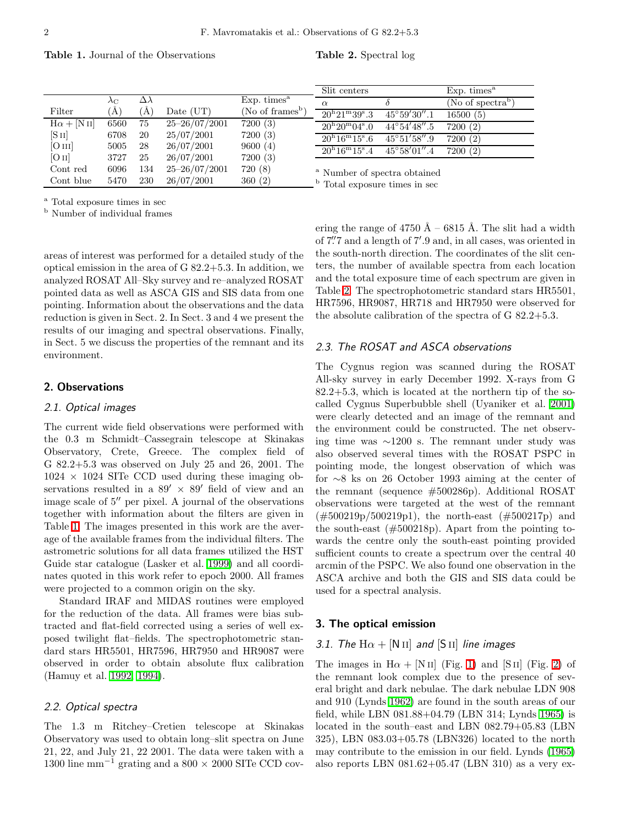Table 1. Journal of the Observations

Table 2. Spectral log

|                    |                   |                  |                   |                              | Slit centers                             |                       | Exp. times <sup>a</sup>       |
|--------------------|-------------------|------------------|-------------------|------------------------------|------------------------------------------|-----------------------|-------------------------------|
|                    | $\lambda_{\rm C}$ | $\Delta \lambda$ |                   | Exp. times <sup>a</sup>      | $\alpha$                                 |                       | (No of spectra <sup>b</sup> ) |
| Filter             | $\rm(A)$          | Ά                | Date $(UT)$       | (No of frames <sup>b</sup> ) | $20^{\rm h}21^{\rm m}39^{\rm s}.3$       | $45^{\circ}59'30''.1$ | 16500(5)                      |
| $H\alpha + [N II]$ | 6560              | 75               | $25 - 26/07/2001$ | 7200(3)                      | $20^{\rm h}20^{\rm m}04^{\rm s}.0$       | $44^{\circ}54'48''.5$ | 7200(2)                       |
| [S <sub>II</sub> ] | 6708              | 20               | 25/07/2001        | 7200(3)                      | $20^{\rm h}16^{\rm m}15^{\rm s}.6$       | $45^{\circ}51'58''.9$ | 7200(2)                       |
| [O III]            | 5005              | 28               | 26/07/2001        | 9600(4)                      | $20^{\rm h}16^{\rm m}15^{\rm s}.4$       | $45^{\circ}58'01''.4$ | 7200(2)                       |
| [O II]             | 3727              | 25               | 26/07/2001        | 7200(3)                      |                                          |                       |                               |
| Cont red           | 6096              | 134              | $25 - 26/07/2001$ | 720(8)                       | <sup>a</sup> Number of spectra obtained  |                       |                               |
| Cont blue          | 5470              | 230              | 26/07/2001        | 360(2)                       | <sup>b</sup> Total exposure times in sec |                       |                               |

<sup>a</sup> Total exposure times in sec

<sup>b</sup> Number of individual frames

areas of interest was performed for a detailed study of the optical emission in the area of G 82.2+5.3. In addition, we analyzed ROSAT All–Sky survey and re–analyzed ROSAT pointed data as well as ASCA GIS and SIS data from one pointing. Information about the observations and the data reduction is given in Sect. 2. In Sect. 3 and 4 we present the results of our imaging and spectral observations. Finally, in Sect. 5 we discuss the properties of the remnant and its environment.

## 2. Observations

## 2.1. Optical images

The current wide field observations were performed with the 0.3 m Schmidt–Cassegrain telescope at Skinakas Observatory, Crete, Greece. The complex field of G 82.2+5.3 was observed on July 25 and 26, 2001. The  $1024 \times 1024$  SITe CCD used during these imaging observations resulted in a  $89' \times 89'$  field of view and an image scale of 5′′ per pixel. A journal of the observations together with information about the filters are given in Table 1. The images presented in this work are the average of the available frames from the individual filters. The astrometric solutions for all data frames utilized the HST Guide star catalogue (Lasker et al. 1999) and all coordinates quoted in this work refer to epoch 2000. All frames were projected to a common origin on the sky.

Standard IRAF and MIDAS routines were employed for the reduction of the data. All frames were bias subtracted and flat-field corrected using a series of well exposed twilight flat–fields. The spectrophotometric standard stars HR5501, HR7596, HR7950 and HR9087 were observed in order to obtain absolute flux calibration (Hamuy et al. 1992, 1994).

## 2.2. Optical spectra

The 1.3 m Ritchey–Cretien telescope at Skinakas Observatory was used to obtain long–slit spectra on June 21, 22, and July 21, 22 2001. The data were taken with a 1300 line mm<sup>-1</sup> grating and a 800  $\times$  2000 SITe CCD covering the range of 4750 Å – 6815 Å. The slit had a width of 7. ′′7 and a length of 7′ .9 and, in all cases, was oriented in the south-north direction. The coordinates of the slit centers, the number of available spectra from each location and the total exposure time of each spectrum are given in Table 2. The spectrophotometric standard stars HR5501, HR7596, HR9087, HR718 and HR7950 were observed for the absolute calibration of the spectra of G 82.2+5.3.

## 2.3. The ROSAT and ASCA observations

The Cygnus region was scanned during the ROSAT All-sky survey in early December 1992. X-rays from G 82.2+5.3, which is located at the northern tip of the socalled Cygnus Superbubble shell (Uyaniker et al. 2001) were clearly detected and an image of the remnant and the environment could be constructed. The net observing time was ∼1200 s. The remnant under study was also observed several times with the ROSAT PSPC in pointing mode, the longest observation of which was for ∼8 ks on 26 October 1993 aiming at the center of the remnant (sequence #500286p). Additional ROSAT observations were targeted at the west of the remnant (#500219p/500219p1), the north-east (#500217p) and the south-east  $(\#500218p)$ . Apart from the pointing towards the centre only the south-east pointing provided sufficient counts to create a spectrum over the central 40 arcmin of the PSPC. We also found one observation in the ASCA archive and both the GIS and SIS data could be used for a spectral analysis.

## 3. The optical emission

## 3.1. The  $H\alpha +$  [N II] and [S II] line images

The images in  $H\alpha + [N II]$  (Fig. 1) and [SII] (Fig. 2) of the remnant look complex due to the presence of several bright and dark nebulae. The dark nebulae LDN 908 and 910 (Lynds 1962) are found in the south areas of our field, while LBN 081.88+04.79 (LBN 314; Lynds 1965) is located in the south–east and LBN 082.79+05.83 (LBN 325), LBN 083.03+05.78 (LBN326) located to the north may contribute to the emission in our field. Lynds (1965) also reports LBN 081.62+05.47 (LBN 310) as a very ex-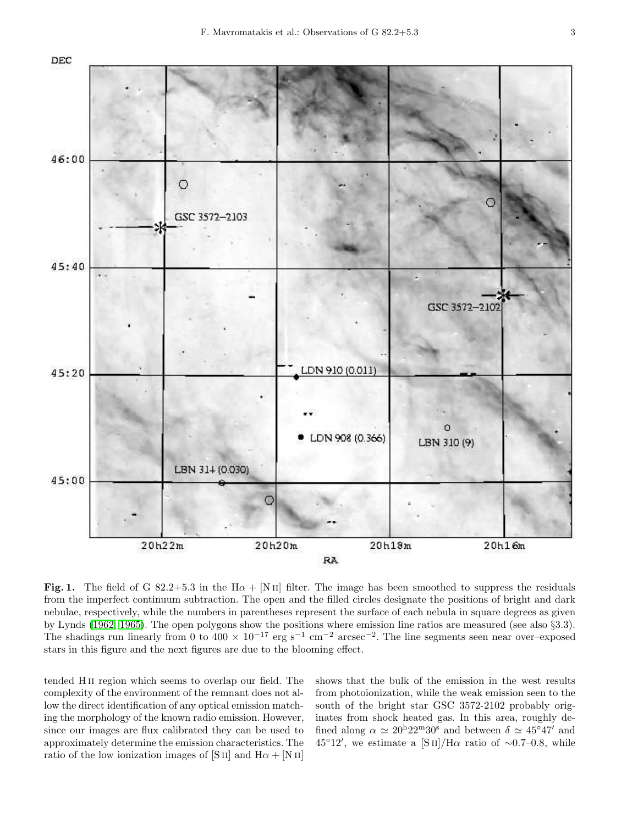

Fig. 1. The field of G 82.2+5.3 in the H $\alpha$  + [N II] filter. The image has been smoothed to suppress the residuals from the imperfect continuum subtraction. The open and the filled circles designate the positions of bright and dark nebulae, respectively, while the numbers in parentheses represent the surface of each nebula in square degrees as given by Lynds (1962, 1965). The open polygons show the positions where emission line ratios are measured (see also §3.3). The shadings run linearly from 0 to  $400 \times 10^{-17}$  erg s<sup>-1</sup> cm<sup>-2</sup> arcsec<sup>-2</sup>. The line segments seen near over–exposed stars in this figure and the next figures are due to the blooming effect.

tended H ii region which seems to overlap our field. The complexity of the environment of the remnant does not allow the direct identification of any optical emission matching the morphology of the known radio emission. However, since our images are flux calibrated they can be used to approximately determine the emission characteristics. The ratio of the low ionization images of [S ii] and  $H\alpha + [N II]$ 

shows that the bulk of the emission in the west results from photoionization, while the weak emission seen to the south of the bright star GSC 3572-2102 probably originates from shock heated gas. In this area, roughly defined along  $\alpha \simeq 20^{\rm h}22^{\rm m}30^{\rm s}$  and between  $\delta \simeq 45^{\circ}47'$  and 45°12′, we estimate a [S<sub>II</sub>]/H $\alpha$  ratio of ~0.7–0.8, while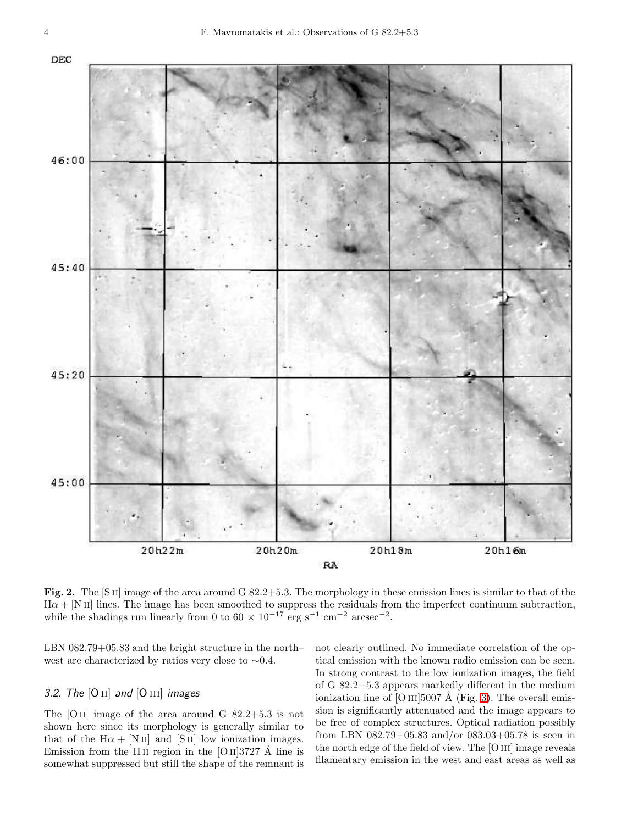

Fig. 2. The [S II] image of the area around G 82.2+5.3. The morphology in these emission lines is similar to that of the  $H\alpha + [N II]$  lines. The image has been smoothed to suppress the residuals from the imperfect continuum subtraction, while the shadings run linearly from 0 to  $60 \times 10^{-17}$  erg s<sup>-1</sup> cm<sup>-2</sup> arcsec<sup>-2</sup>.

LBN 082.79+05.83 and the bright structure in the north– west are characterized by ratios very close to ∼0.4.

## 3.2. The  $[O II]$  and  $[O III]$  images

The  $[O II]$  image of the area around G 82.2+5.3 is not shown here since its morphology is generally similar to that of the  $H\alpha + [N II]$  and  $[S II]$  low ionization images. Emission from the H<sub>II</sub> region in the [O  $\text{II}$ ]3727 Å line is somewhat suppressed but still the shape of the remnant is not clearly outlined. No immediate correlation of the optical emission with the known radio emission can be seen. In strong contrast to the low ionization images, the field of G 82.2+5.3 appears markedly different in the medium ionization line of [O III]5007 Å (Fig. 3). The overall emission is significantly attenuated and the image appears to be free of complex structures. Optical radiation possibly from LBN 082.79+05.83 and/or 083.03+05.78 is seen in the north edge of the field of view. The [O III] image reveals filamentary emission in the west and east areas as well as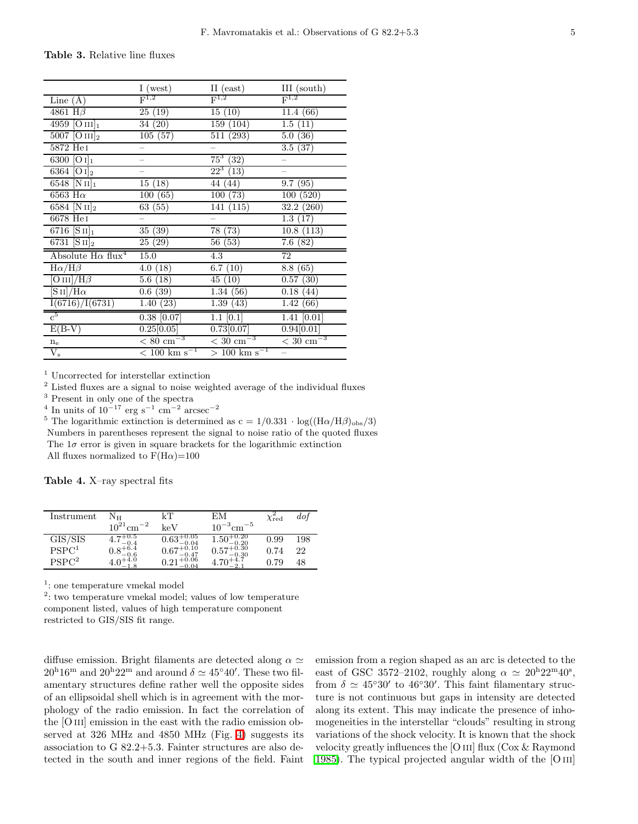Table 3. Relative line fluxes

|                                                   | I (west)                     | II $(east)$                 | III (south)                 |
|---------------------------------------------------|------------------------------|-----------------------------|-----------------------------|
| Line $(A)$                                        | $\mathrm{F}^{1,2}$           | ${\rm F}^{1,2}$             | $\mathrm{F}^{1,2}$          |
| $4861$ H $\beta$                                  | 25(19)                       | 15(10)                      | 11.4(66)                    |
| 4959 [O $\text{III}_1$ ]                          | 34(20)                       | $\overline{159}$ (104)      | 1.5(11)                     |
| 5007 [O $\text{III}_2$ ]                          | 105(57)                      | 511 (293)                   | 5.0(36)                     |
| 5872 HeI                                          |                              |                             | 3.5(37)                     |
| $\overline{6300}$ [O <sub>I</sub> ] <sub>1</sub>  |                              | $75^3$<br>(32)              |                             |
| $\overline{6364}$ [O <sub>I</sub> ] <sub>2</sub>  |                              | $22^3$<br>(13)              |                             |
| $6548$ [N II] <sub>1</sub>                        | 15(18)                       | 44<br>(44)                  | 9.7(95)                     |
| 6563 H $\alpha$                                   | 100(65)                      | (73)<br>100                 | 100(520)                    |
| 6584 [N $_{II}]_2$                                | 63 (55)                      | 141 (115)                   | 32.2(260)                   |
| 6678 He <sub>I</sub>                              |                              |                             | 1.3(17)                     |
| $\overline{67}16$ [S II] <sub>1</sub>             | 35(39)                       | 78 (73)                     | 10.8(113)                   |
| $\overline{6731}$ $\overline{S}$ II] <sub>2</sub> | $\overline{25}$ (29)         | 56 (53)                     | 7.6(82)                     |
| Absolute $H\alpha$ flux <sup>4</sup>              | 15.0                         | 4.3                         | $\overline{72}$             |
| $H\alpha/H\beta$                                  | (18)<br>4.0                  | 6.7(10)                     | 8.8(65)                     |
| $[O\,\textsc{iii}/H\beta]$                        | (18)<br>$5.6\,$              | 45(10)                      | 0.57(30)                    |
| $\rm [S\,II]/H\alpha$                             | (39)<br>$0.6\,$              | 1.34(56)                    | 0.18<br>(44)                |
| I(6716)/I(6731)                                   | (23)<br>1.40                 | 1.39(43)                    | 1.42<br>(66)                |
| $\frac{1}{c^5}$                                   | $\overline{0.38}$ [0.07]     | $1.1$ [0.1]                 | $\overline{1.41}$ [0.01]    |
| $E(B-V)$                                          | 0.25[0.05]                   | 0.73[0.07]                  | 0.94[0.01]                  |
| $n_e$                                             | $\sqrt{80}$ cm <sup>-3</sup> | $\sqrt{30 \text{ cm}^{-3}}$ | $\sqrt{30 \text{ cm}^{-3}}$ |
| $V_{\rm s}$                                       | $< 100~{\rm km~s^{-1}}$      | $> 100 \text{ km s}^{-1}$   |                             |

<sup>1</sup> Uncorrected for interstellar extinction

<sup>2</sup> Listed fluxes are a signal to noise weighted average of the individual fluxes

<sup>3</sup> Present in only one of the spectra<br><sup>4</sup> In units of  $10^{-17}$  erg s<sup>-1</sup> cm<sup>-2</sup> arcsec<sup>-2</sup>

<sup>5</sup> The logarithmic extinction is determined as c =  $1/0.331 \cdot \log((\text{H}\alpha/\text{H}\beta)_{\text{obs}}/3)$ Numbers in parentheses represent the signal to noise ratio of the quoted fluxes The  $1\sigma$  error is given in square brackets for the logarithmic extinction All fluxes normalized to  $F(H\alpha)=100$ 

Table 4. X–ray spectral fits

| Instrument        | Nн                         | kΤ                                         | EМ                                | $\chi_{\rm red}$ | dof |
|-------------------|----------------------------|--------------------------------------------|-----------------------------------|------------------|-----|
|                   | $10^{21}$ cm <sup>-2</sup> | keV                                        | $10^{-3}$ cm <sup>-5</sup>        |                  |     |
| GIS/SIS           | -0.5                       | $-0.05$<br>$0.63\,$<br>$-0.04$             | -0.20<br>$1.50^{+0.28}_{-0.20}$   | 0.99             | 198 |
| PSPC <sup>1</sup> | $0.8^{+6.4}_{-6.5}$<br>0.6 | $0.67^{+0.10}_{-0.47}$<br>$-0.47$<br>+0.06 | $0.57^{+0.30}_{-0.30}$<br>$-9.30$ | 0.74             | 22  |
| PSPC <sup>2</sup> |                            | $^{+0.04}$                                 | 4.70<br>$-2.1$                    | 0.79             | 48  |

1 : one temperature vmekal model

<sup>2</sup>: two temperature vmekal model; values of low temperature component listed, values of high temperature component restricted to GIS/SIS fit range.

diffuse emission. Bright filaments are detected along  $\alpha \simeq$  $20^{\mathrm{h}}16^{\mathrm{m}}$  and  $20^{\mathrm{h}}22^{\mathrm{m}}$  and around  $\delta \simeq 45^{\circ}40^{\prime}$ . These two filamentary structures define rather well the opposite sides of an ellipsoidal shell which is in agreement with the morphology of the radio emission. In fact the correlation of the [O III] emission in the east with the radio emission observed at 326 MHz and 4850 MHz (Fig. 4) suggests its association to G 82.2+5.3. Fainter structures are also detected in the south and inner regions of the field. Faint

emission from a region shaped as an arc is detected to the east of GSC 3572-2102, roughly along  $\alpha \simeq 20^{\mathrm{h}} 22^{\mathrm{m}} 40^{\mathrm{s}}$ , from  $\delta \simeq 45°30'$  to 46°30'. This faint filamentary structure is not continuous but gaps in intensity are detected along its extent. This may indicate the presence of inhomogeneities in the interstellar "clouds" resulting in strong variations of the shock velocity. It is known that the shock velocity greatly influences the [O III] flux  $(Cox \& Raymond)$ 1985). The typical projected angular width of the [O iii]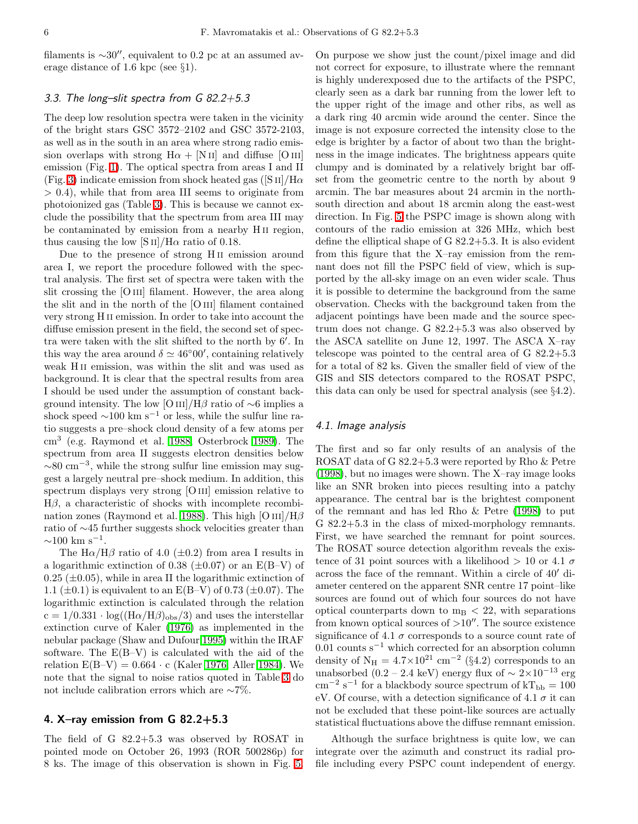filaments is  $\sim 30''$ , equivalent to 0.2 pc at an assumed average distance of 1.6 kpc (see §1).

## 3.3. The long–slit spectra from G 82.2+5.3

The deep low resolution spectra were taken in the vicinity of the bright stars GSC 3572–2102 and GSC 3572-2103, as well as in the south in an area where strong radio emission overlaps with strong  $H\alpha + [N II]$  and diffuse [O III] emission (Fig. 1). The optical spectra from areas I and II (Fig. 3) indicate emission from shock heated gas ( $[S II]/H\alpha$ > 0.4), while that from area III seems to originate from photoionized gas (Table 3). This is because we cannot exclude the possibility that the spectrum from area III may be contaminated by emission from a nearby H ii region, thus causing the low  $\text{[S II]/H}\alpha$  ratio of 0.18.

Due to the presence of strong H<sub>II</sub> emission around area I, we report the procedure followed with the spectral analysis. The first set of spectra were taken with the slit crossing the [O III] filament. However, the area along the slit and in the north of the [O iii] filament contained very strong H ii emission. In order to take into account the diffuse emission present in the field, the second set of spectra were taken with the slit shifted to the north by 6′ . In this way the area around  $\delta \simeq 46^{\circ}00'$ , containing relatively weak H<sub>II</sub> emission, was within the slit and was used as background. It is clear that the spectral results from area I should be used under the assumption of constant background intensity. The low [O III]/H $\beta$  ratio of ∼6 implies a shock speed  $\sim$ 100 km s<sup>-1</sup> or less, while the sulfur line ratio suggests a pre–shock cloud density of a few atoms per cm<sup>3</sup> (e.g. Raymond et al. 1988, Osterbrock 1989). The spectrum from area II suggests electron densities below  $\sim 80 \text{ cm}^{-3}$ , while the strong sulfur line emission may suggest a largely neutral pre–shock medium. In addition, this spectrum displays very strong [O III] emission relative to  $H\beta$ , a characteristic of shocks with incomplete recombination zones (Raymond et al. 1988). This high [O  $\text{III}/\text{H}\beta$ ratio of ∼45 further suggests shock velocities greater than  $\sim$ 100 km s<sup>-1</sup>.

The  $H\alpha/H\beta$  ratio of 4.0 ( $\pm$ 0.2) from area I results in a logarithmic extinction of 0.38 ( $\pm$ 0.07) or an E(B–V) of  $0.25 \ (\pm 0.05)$ , while in area II the logarithmic extinction of 1.1 ( $\pm$ 0.1) is equivalent to an E(B–V) of 0.73 ( $\pm$ 0.07). The logarithmic extinction is calculated through the relation  $c = 1/0.331 \cdot \log((H\alpha/H\beta)_{obs}/3)$  and uses the interstellar extinction curve of Kaler (1976) as implemented in the nebular package (Shaw and Dufour 1995) within the IRAF software. The E(B–V) is calculated with the aid of the relation  $E(B-V) = 0.664 \cdot c$  (Kaler 1976, Aller 1984). We note that the signal to noise ratios quoted in Table 3 do not include calibration errors which are ∼7%.

## 4. X–ray emission from G 82.2+5.3

The field of G 82.2+5.3 was observed by ROSAT in pointed mode on October 26, 1993 (ROR 500286p) for 8 ks. The image of this observation is shown in Fig. 5. On purpose we show just the count/pixel image and did not correct for exposure, to illustrate where the remnant is highly underexposed due to the artifacts of the PSPC, clearly seen as a dark bar running from the lower left to the upper right of the image and other ribs, as well as a dark ring 40 arcmin wide around the center. Since the image is not exposure corrected the intensity close to the edge is brighter by a factor of about two than the brightness in the image indicates. The brightness appears quite clumpy and is dominated by a relatively bright bar offset from the geometric centre to the north by about 9 arcmin. The bar measures about 24 arcmin in the northsouth direction and about 18 arcmin along the east-west direction. In Fig. 5 the PSPC image is shown along with contours of the radio emission at 326 MHz, which best define the elliptical shape of G 82.2+5.3. It is also evident from this figure that the X–ray emission from the remnant does not fill the PSPC field of view, which is supported by the all-sky image on an even wider scale. Thus it is possible to determine the background from the same observation. Checks with the background taken from the adjacent pointings have been made and the source spectrum does not change. G 82.2+5.3 was also observed by the ASCA satellite on June 12, 1997. The ASCA X–ray telescope was pointed to the central area of G 82.2+5.3 for a total of 82 ks. Given the smaller field of view of the GIS and SIS detectors compared to the ROSAT PSPC, this data can only be used for spectral analysis (see §4.2).

## 4.1. Image analysis

The first and so far only results of an analysis of the ROSAT data of G 82.2+5.3 were reported by Rho & Petre (1998), but no images were shown. The X–ray image looks like an SNR broken into pieces resulting into a patchy appearance. The central bar is the brightest component of the remnant and has led Rho & Petre (1998) to put G 82.2+5.3 in the class of mixed-morphology remnants. First, we have searched the remnant for point sources. The ROSAT source detection algorithm reveals the existence of 31 point sources with a likelihood  $>$  10 or 4.1  $\sigma$ across the face of the remnant. Within a circle of 40′ diameter centered on the apparent SNR centre 17 point–like sources are found out of which four sources do not have optical counterparts down to  $m_B < 22$ , with separations from known optical sources of  $>10''$ . The source existence significance of 4.1  $\sigma$  corresponds to a source count rate of 0.01 counts  $s^{-1}$  which corrected for an absorption column density of  $N_H = 4.7 \times 10^{21}$  cm<sup>-2</sup> (§4.2) corresponds to an unabsorbed (0.2 – 2.4 keV) energy flux of  $\sim 2 \times 10^{-13}$  erg cm<sup>-2</sup> s<sup>-1</sup> for a blackbody source spectrum of  $kT_{bb} = 100$ eV. Of course, with a detection significance of 4.1  $\sigma$  it can not be excluded that these point-like sources are actually statistical fluctuations above the diffuse remnant emission.

Although the surface brightness is quite low, we can integrate over the azimuth and construct its radial profile including every PSPC count independent of energy.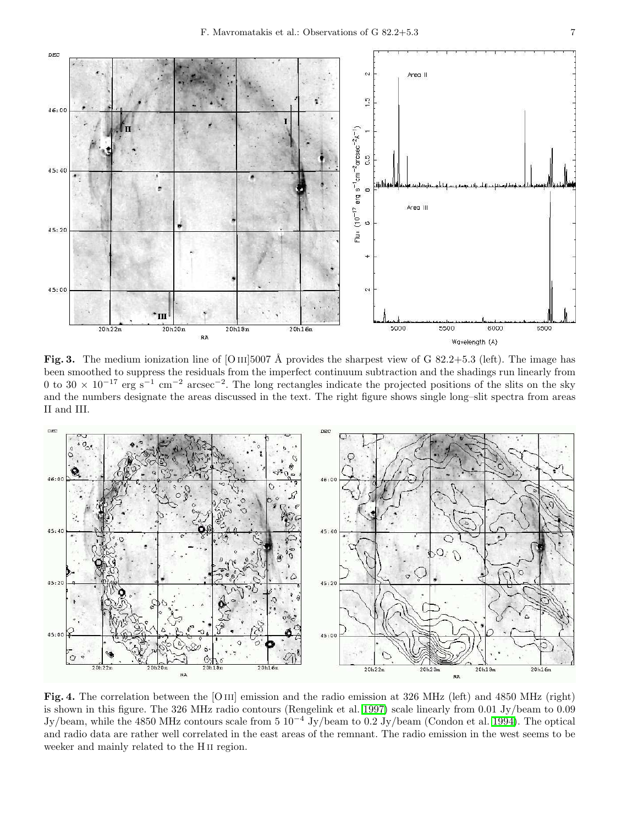

Fig. 3. The medium ionization line of [O III]5007 Å provides the sharpest view of G 82.2+5.3 (left). The image has been smoothed to suppress the residuals from the imperfect continuum subtraction and the shadings run linearly from 0 to 30  $\times$  10<sup>-17</sup> erg s<sup>-1</sup> cm<sup>-2</sup> arcsec<sup>-2</sup>. The long rectangles indicate the projected positions of the slits on the sky and the numbers designate the areas discussed in the text. The right figure shows single long–slit spectra from areas II and III.



Fig. 4. The correlation between the [O III] emission and the radio emission at 326 MHz (left) and 4850 MHz (right) is shown in this figure. The 326 MHz radio contours (Rengelink et al. 1997) scale linearly from 0.01 Jy/beam to 0.09 Jy/beam, while the 4850 MHz contours scale from 5 10<sup>−</sup><sup>4</sup> Jy/beam to 0.2 Jy/beam (Condon et al. 1994). The optical and radio data are rather well correlated in the east areas of the remnant. The radio emission in the west seems to be weeker and mainly related to the H<sub>II</sub> region.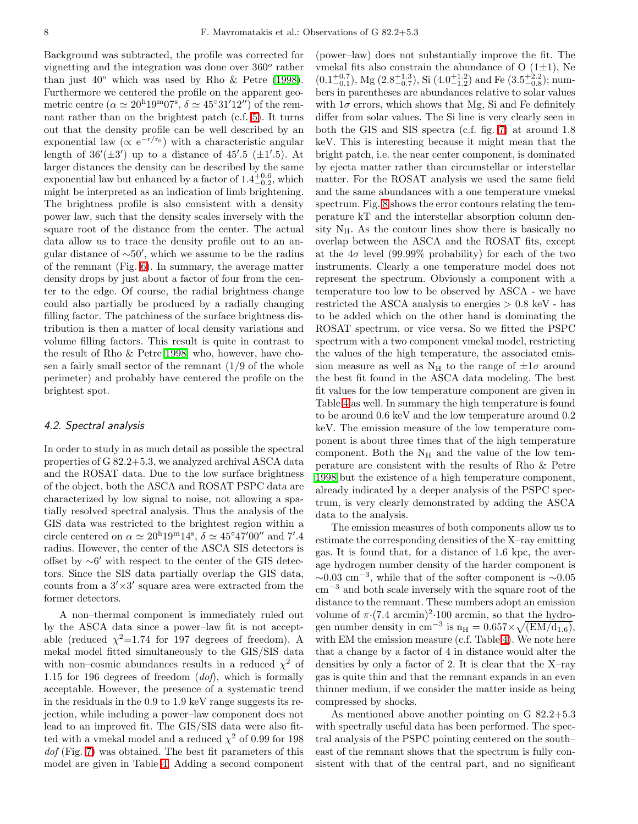Background was subtracted, the profile was corrected for vignetting and the integration was done over  $360^o$  rather than just  $40^{\circ}$  which was used by Rho & Petre (1998). Furthermore we centered the profile on the apparent geometric centre ( $\alpha \simeq 20^{\mathrm{h}} 19^{\mathrm{m}} 07^{\mathrm{s}}$ ,  $\delta \simeq 45^{\circ} 31' 12''$ ) of the remnant rather than on the brightest patch (c.f. 5). It turns out that the density profile can be well described by an exponential law ( $\propto e^{-r/r_0}$ ) with a characteristic angular length of  $36'(\pm 3')$  up to a distance of  $45'.5$  ( $\pm 1'.5$ ). At larger distances the density can be described by the same exponential law but enhanced by a factor of  $1.4^{+0.6}_{-0.2}$ , which might be interpreted as an indication of limb brightening. The brightness profile is also consistent with a density power law, such that the density scales inversely with the square root of the distance from the center. The actual data allow us to trace the density profile out to an angular distance of ∼50′ , which we assume to be the radius of the remnant (Fig. 6). In summary, the average matter density drops by just about a factor of four from the center to the edge. Of course, the radial brightness change could also partially be produced by a radially changing filling factor. The patchiness of the surface brightness distribution is then a matter of local density variations and volume filling factors. This result is quite in contrast to the result of Rho & Petre 1998, who, however, have chosen a fairly small sector of the remnant  $(1/9)$  of the whole perimeter) and probably have centered the profile on the brightest spot.

## 4.2. Spectral analysis

In order to study in as much detail as possible the spectral properties of G 82.2+5.3, we analyzed archival ASCA data and the ROSAT data. Due to the low surface brightness of the object, both the ASCA and ROSAT PSPC data are characterized by low signal to noise, not allowing a spatially resolved spectral analysis. Thus the analysis of the GIS data was restricted to the brightest region within a circle centered on  $\alpha \simeq 20^{\mathrm{h}} 19^{\mathrm{m}} 14^{\mathrm{s}}$ ,  $\delta \simeq 45^{\circ} 47' 00''$  and 7'.4 radius. However, the center of the ASCA SIS detectors is offset by ∼6 ′ with respect to the center of the GIS detectors. Since the SIS data partially overlap the GIS data, counts from a  $3' \times 3'$  square area were extracted from the former detectors.

A non–thermal component is immediately ruled out by the ASCA data since a power–law fit is not acceptable (reduced  $\chi^2$ =1.74 for 197 degrees of freedom). A mekal model fitted simultaneously to the GIS/SIS data with non–cosmic abundances results in a reduced  $\chi^2$  of 1.15 for 196 degrees of freedom  $(dof)$ , which is formally acceptable. However, the presence of a systematic trend in the residuals in the 0.9 to 1.9 keV range suggests its rejection, while including a power–law component does not lead to an improved fit. The GIS/SIS data were also fitted with a vmekal model and a reduced  $\chi^2$  of 0.99 for 198 dof (Fig. 7) was obtained. The best fit parameters of this model are given in Table 4. Adding a second component

(power–law) does not substantially improve the fit. The vmekal fits also constrain the abundance of  $O(1\pm 1)$ , Ne  $(0.1^{+0.7}_{-0.1})$ , Mg  $(2.8^{+1.3}_{-0.7})$ , Si  $(4.0^{+1.2}_{-1.2})$  and Fe  $(3.5^{+2.2}_{-0.8})$ ; numbers in parentheses are abundances relative to solar values with  $1\sigma$  errors, which shows that Mg, Si and Fe definitely differ from solar values. The Si line is very clearly seen in both the GIS and SIS spectra (c.f. fig. 7) at around 1.8 keV. This is interesting because it might mean that the bright patch, i.e. the near center component, is dominated by ejecta matter rather than circumstellar or interstellar matter. For the ROSAT analysis we used the same field and the same abundances with a one temperature vmekal spectrum. Fig. 8 shows the error contours relating the temperature kT and the interstellar absorption column density  $N_{H}$ . As the contour lines show there is basically no overlap between the ASCA and the ROSAT fits, except at the  $4\sigma$  level (99.99% probability) for each of the two instruments. Clearly a one temperature model does not represent the spectrum. Obviously a component with a temperature too low to be observed by ASCA - we have restricted the ASCA analysis to energies > 0.8 keV - has to be added which on the other hand is dominating the ROSAT spectrum, or vice versa. So we fitted the PSPC spectrum with a two component vmekal model, restricting the values of the high temperature, the associated emission measure as well as  $N_H$  to the range of  $\pm 1\sigma$  around the best fit found in the ASCA data modeling. The best fit values for the low temperature component are given in Table 4 as well. In summary the high temperature is found to be around 0.6 keV and the low temperature around 0.2 keV. The emission measure of the low temperature component is about three times that of the high temperature component. Both the  $N_H$  and the value of the low temperature are consistent with the results of Rho & Petre 1998 but the existence of a high temperature component, already indicated by a deeper analysis of the PSPC spectrum, is very clearly demonstrated by adding the ASCA data to the analysis.

The emission measures of both components allow us to estimate the corresponding densities of the X–ray emitting gas. It is found that, for a distance of 1.6 kpc, the average hydrogen number density of the harder component is  $\sim 0.03$  cm<sup>-3</sup>, while that of the softer component is  $\sim 0.05$ cm<sup>−</sup><sup>3</sup> and both scale inversely with the square root of the distance to the remnant. These numbers adopt an emission volume of  $\pi$  (7.4 arcmin)<sup>2</sup> 100 arcmin, so that the hydrogen number density in cm<sup>-3</sup> is  $n_H = 0.657 \times \sqrt{\text{(EM/d_{1.6})}},$ with EM the emission measure (c.f. Table 4). We note here that a change by a factor of 4 in distance would alter the densities by only a factor of 2. It is clear that the X–ray gas is quite thin and that the remnant expands in an even thinner medium, if we consider the matter inside as being compressed by shocks.

As mentioned above another pointing on G 82.2+5.3 with spectrally useful data has been performed. The spectral analysis of the PSPC pointing centered on the south– east of the remnant shows that the spectrum is fully consistent with that of the central part, and no significant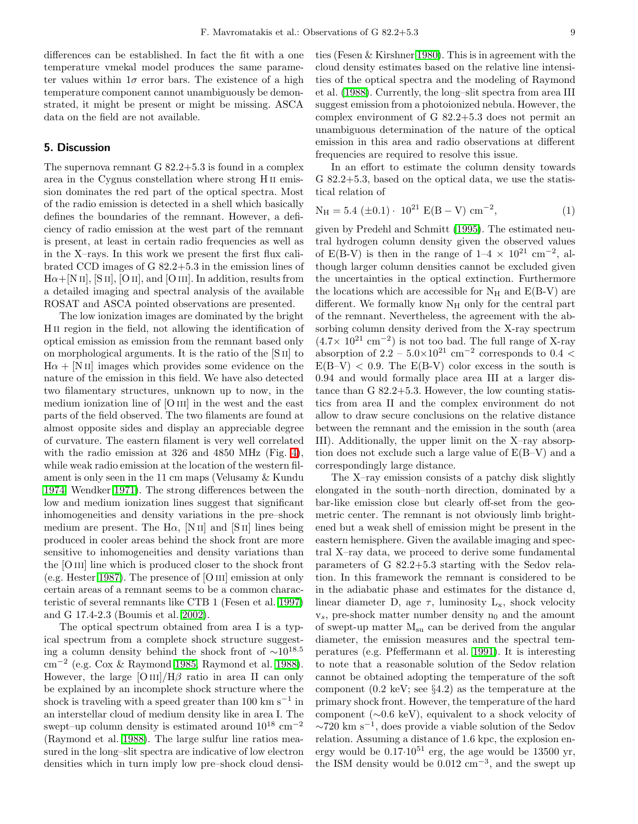differences can be established. In fact the fit with a one temperature vmekal model produces the same parameter values within  $1\sigma$  error bars. The existence of a high temperature component cannot unambiguously be demonstrated, it might be present or might be missing. ASCA data on the field are not available.

## 5. Discussion

The supernova remnant G 82.2+5.3 is found in a complex area in the Cygnus constellation where strong H ii emission dominates the red part of the optical spectra. Most of the radio emission is detected in a shell which basically defines the boundaries of the remnant. However, a deficiency of radio emission at the west part of the remnant is present, at least in certain radio frequencies as well as in the X–rays. In this work we present the first flux calibrated CCD images of G 82.2+5.3 in the emission lines of  $H\alpha + [N II], [S II], [O II],$  and  $[O III].$  In addition, results from a detailed imaging and spectral analysis of the available ROSAT and ASCA pointed observations are presented.

The low ionization images are dominated by the bright H<sub>II</sub> region in the field, not allowing the identification of optical emission as emission from the remnant based only on morphological arguments. It is the ratio of the [S ii] to  $H\alpha + [N II]$  images which provides some evidence on the nature of the emission in this field. We have also detected two filamentary structures, unknown up to now, in the medium ionization line of [O III] in the west and the east parts of the field observed. The two filaments are found at almost opposite sides and display an appreciable degree of curvature. The eastern filament is very well correlated with the radio emission at 326 and 4850 MHz (Fig. 4), while weak radio emission at the location of the western filament is only seen in the 11 cm maps (Velusamy & Kundu 1974, Wendker 1971). The strong differences between the low and medium ionization lines suggest that significant inhomogeneities and density variations in the pre–shock medium are present. The H $\alpha$ , [N II] and [S II] lines being produced in cooler areas behind the shock front are more sensitive to inhomogeneities and density variations than the [O III] line which is produced closer to the shock front (e.g. Hester 1987). The presence of [O iii] emission at only certain areas of a remnant seems to be a common characteristic of several remnants like CTB 1 (Fesen et al. 1997) and G 17.4-2.3 (Boumis et al. 2002).

The optical spectrum obtained from area I is a typical spectrum from a complete shock structure suggesting a column density behind the shock front of  $\sim 10^{18.5}$ cm<sup>−</sup><sup>2</sup> (e.g. Cox & Raymond 1985, Raymond et al. 1988). However, the large  $\text{[O\,\textsc{iii}]/H}\beta$  ratio in area II can only be explained by an incomplete shock structure where the shock is traveling with a speed greater than 100 km s<sup>-1</sup> in an interstellar cloud of medium density like in area I. The swept–up column density is estimated around  $10^{18}$  cm<sup>-2</sup> (Raymond et al. 1988). The large sulfur line ratios measured in the long–slit spectra are indicative of low electron densities which in turn imply low pre–shock cloud densi-

ties (Fesen & Kirshner 1980). This is in agreement with the cloud density estimates based on the relative line intensities of the optical spectra and the modeling of Raymond et al. (1988). Currently, the long–slit spectra from area III suggest emission from a photoionized nebula. However, the complex environment of G 82.2+5.3 does not permit an unambiguous determination of the nature of the optical emission in this area and radio observations at different frequencies are required to resolve this issue.

In an effort to estimate the column density towards G 82.2+5.3, based on the optical data, we use the statistical relation of

$$
N_{\rm H} = 5.4 \ (\pm 0.1) \cdot 10^{21} \ E(B - V) \ \rm cm^{-2}, \tag{1}
$$

given by Predehl and Schmitt (1995). The estimated neutral hydrogen column density given the observed values of E(B-V) is then in the range of  $1-4 \times 10^{21}$  cm<sup>-2</sup>, although larger column densities cannot be excluded given the uncertainties in the optical extinction. Furthermore the locations which are accessible for  $N_H$  and  $E(B-V)$  are different. We formally know  $N_H$  only for the central part of the remnant. Nevertheless, the agreement with the absorbing column density derived from the X-ray spectrum  $(4.7\times 10^{21} \text{ cm}^{-2})$  is not too bad. The full range of X-ray absorption of  $2.2 - 5.0 \times 10^{21}$  cm<sup>-2</sup> corresponds to 0.4 <  $E(B-V)$  < 0.9. The  $E(B-V)$  color excess in the south is 0.94 and would formally place area III at a larger distance than G 82.2+5.3. However, the low counting statistics from area II and the complex environment do not allow to draw secure conclusions on the relative distance between the remnant and the emission in the south (area III). Additionally, the upper limit on the X–ray absorption does not exclude such a large value of E(B–V) and a correspondingly large distance.

The X–ray emission consists of a patchy disk slightly elongated in the south–north direction, dominated by a bar-like emission close but clearly off-set from the geometric center. The remnant is not obviously limb brightened but a weak shell of emission might be present in the eastern hemisphere. Given the available imaging and spectral X–ray data, we proceed to derive some fundamental parameters of G 82.2+5.3 starting with the Sedov relation. In this framework the remnant is considered to be in the adiabatic phase and estimates for the distance d, linear diameter D, age  $\tau$ , luminosity  $L_x$ , shock velocity  $v_s$ , pre-shock matter number density  $n_0$  and the amount of swept-up matter  $M_{su}$  can be derived from the angular diameter, the emission measures and the spectral temperatures (e.g. Pfeffermann et al. 1991). It is interesting to note that a reasonable solution of the Sedov relation cannot be obtained adopting the temperature of the soft component (0.2 keV; see §4.2) as the temperature at the primary shock front. However, the temperature of the hard component (∼0.6 keV), equivalent to a shock velocity of  $\sim$ 720 km s<sup>-1</sup>, does provide a viable solution of the Sedov relation. Assuming a distance of 1.6 kpc, the explosion energy would be  $0.17 \cdot 10^{51}$  erg, the age would be 13500 yr, the ISM density would be  $0.012 \text{ cm}^{-3}$ , and the swept up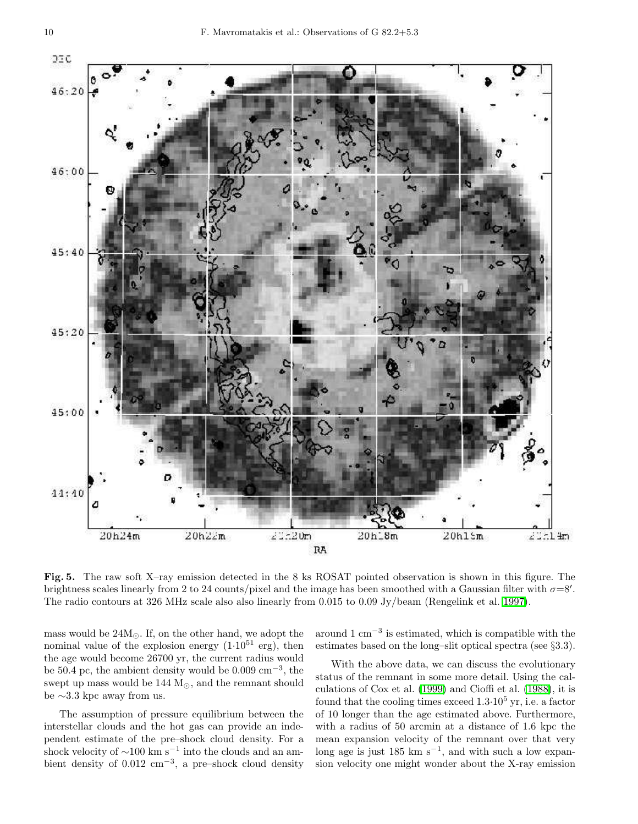

Fig. 5. The raw soft X–ray emission detected in the 8 ks ROSAT pointed observation is shown in this figure. The brightness scales linearly from 2 to 24 counts/pixel and the image has been smoothed with a Gaussian filter with  $\sigma=8'$ . The radio contours at 326 MHz scale also also linearly from 0.015 to 0.09 Jy/beam (Rengelink et al. 1997).

mass would be  $24M_{\odot}$ . If, on the other hand, we adopt the nominal value of the explosion energy  $(1.10^{51} \text{ erg})$ , then the age would become 26700 yr, the current radius would be 50.4 pc, the ambient density would be 0.009 cm<sup>−</sup><sup>3</sup> , the swept up mass would be  $144 M<sub>©</sub>$ , and the remnant should be ∼3.3 kpc away from us.

The assumption of pressure equilibrium between the interstellar clouds and the hot gas can provide an independent estimate of the pre–shock cloud density. For a shock velocity of  $\sim$ 100 km s<sup>-1</sup> into the clouds and an ambient density of  $0.012 \text{ cm}^{-3}$ , a pre–shock cloud density

around  $1 \text{ cm}^{-3}$  is estimated, which is compatible with the estimates based on the long–slit optical spectra (see §3.3).

With the above data, we can discuss the evolutionary status of the remnant in some more detail. Using the calculations of Cox et al. (1999) and Cioffi et al. (1988), it is found that the cooling times exceed  $1.3 \cdot 10^5$  yr, i.e. a factor of 10 longer than the age estimated above. Furthermore, with a radius of 50 arcmin at a distance of 1.6 kpc the mean expansion velocity of the remnant over that very long age is just  $185 \text{ km s}^{-1}$ , and with such a low expansion velocity one might wonder about the X-ray emission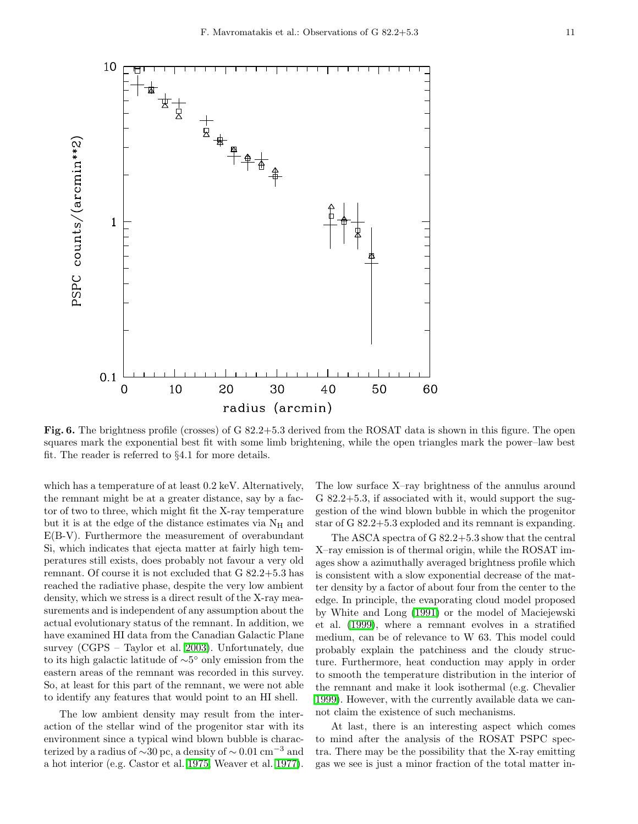

Fig. 6. The brightness profile (crosses) of G 82.2+5.3 derived from the ROSAT data is shown in this figure. The open squares mark the exponential best fit with some limb brightening, while the open triangles mark the power–law best fit. The reader is referred to §4.1 for more details.

which has a temperature of at least 0.2 keV. Alternatively, the remnant might be at a greater distance, say by a factor of two to three, which might fit the X-ray temperature but it is at the edge of the distance estimates via  $N_{\rm H}$  and E(B-V). Furthermore the measurement of overabundant Si, which indicates that ejecta matter at fairly high temperatures still exists, does probably not favour a very old remnant. Of course it is not excluded that G 82.2+5.3 has reached the radiative phase, despite the very low ambient density, which we stress is a direct result of the X-ray measurements and is independent of any assumption about the actual evolutionary status of the remnant. In addition, we have examined HI data from the Canadian Galactic Plane survey (CGPS – Taylor et al. 2003). Unfortunately, due to its high galactic latitude of ∼5 ◦ only emission from the eastern areas of the remnant was recorded in this survey. So, at least for this part of the remnant, we were not able to identify any features that would point to an HI shell.

The low ambient density may result from the interaction of the stellar wind of the progenitor star with its environment since a typical wind blown bubble is characterized by a radius of  $\sim$ 30 pc, a density of  $\sim$  0.01 cm<sup>-3</sup> and a hot interior (e.g. Castor et al. 1975, Weaver et al. 1977).

The low surface X–ray brightness of the annulus around G 82.2+5.3, if associated with it, would support the suggestion of the wind blown bubble in which the progenitor star of G 82.2+5.3 exploded and its remnant is expanding.

The ASCA spectra of G 82.2+5.3 show that the central X–ray emission is of thermal origin, while the ROSAT images show a azimuthally averaged brightness profile which is consistent with a slow exponential decrease of the matter density by a factor of about four from the center to the edge. In principle, the evaporating cloud model proposed by White and Long (1991) or the model of Maciejewski et al. (1999), where a remnant evolves in a stratified medium, can be of relevance to W 63. This model could probably explain the patchiness and the cloudy structure. Furthermore, heat conduction may apply in order to smooth the temperature distribution in the interior of the remnant and make it look isothermal (e.g. Chevalier 1999). However, with the currently available data we cannot claim the existence of such mechanisms.

At last, there is an interesting aspect which comes to mind after the analysis of the ROSAT PSPC spectra. There may be the possibility that the X-ray emitting gas we see is just a minor fraction of the total matter in-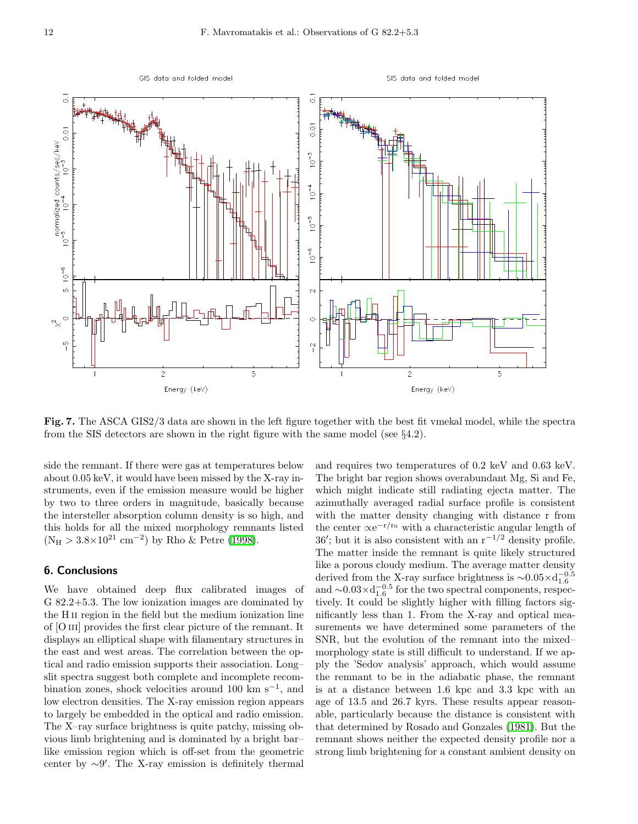

Fig. 7. The ASCA GIS2/3 data are shown in the left figure together with the best fit vmekal model, while the spectra from the SIS detectors are shown in the right figure with the same model (see  $\S4.2$ ).

side the remnant. If there were gas at temperatures below about 0.05 keV, it would have been missed by the X-ray instruments, even if the emission measure would be higher by two to three orders in magnitude, basically because the intersteller absorption column density is so high, and this holds for all the mixed morphology remnants listed  $(N_H > 3.8 \times 10^{21}$  cm<sup>-2</sup>) by Rho & Petre (1998).

## 6. Conclusions

We have obtained deep flux calibrated images of G 82.2+5.3. The low ionization images are dominated by the H ii region in the field but the medium ionization line of [O iii] provides the first clear picture of the remnant. It displays an elliptical shape with filamentary structures in the east and west areas. The correlation between the optical and radio emission supports their association. Long– slit spectra suggest both complete and incomplete recombination zones, shock velocities around 100 km  $s^{-1}$ , and low electron densities. The X-ray emission region appears to largely be embedded in the optical and radio emission. The X–ray surface brightness is quite patchy, missing obvious limb brightening and is dominated by a bright bar– like emission region which is off-set from the geometric center by ∼9 ′ . The X-ray emission is definitely thermal

and requires two temperatures of 0.2 keV and 0.63 keV. The bright bar region shows overabundant Mg, Si and Fe, which might indicate still radiating ejecta matter. The azimuthally averaged radial surface profile is consistent with the matter density changing with distance r from the center  $\propto e^{-r/r_0}$  with a characteristic angular length of 36'; but it is also consistent with an  $r^{-1/2}$  density profile. The matter inside the remnant is quite likely structured like a porous cloudy medium. The average matter density derived from the X-ray surface brightness is  $\sim 0.05 \times d_{1.6}^{-0.5}$ and  $\sim 0.03 \times d_{1.6}^{-0.5}$  for the two spectral components, respectively. It could be slightly higher with filling factors significantly less than 1. From the X-ray and optical measurements we have determined some parameters of the SNR, but the evolution of the remnant into the mixed– morphology state is still difficult to understand. If we apply the 'Sedov analysis' approach, which would assume the remnant to be in the adiabatic phase, the remnant is at a distance between 1.6 kpc and 3.3 kpc with an age of 13.5 and 26.7 kyrs. These results appear reasonable, particularly because the distance is consistent with that determined by Rosado and Gonzales (1981). But the remnant shows neither the expected density profile nor a strong limb brightening for a constant ambient density on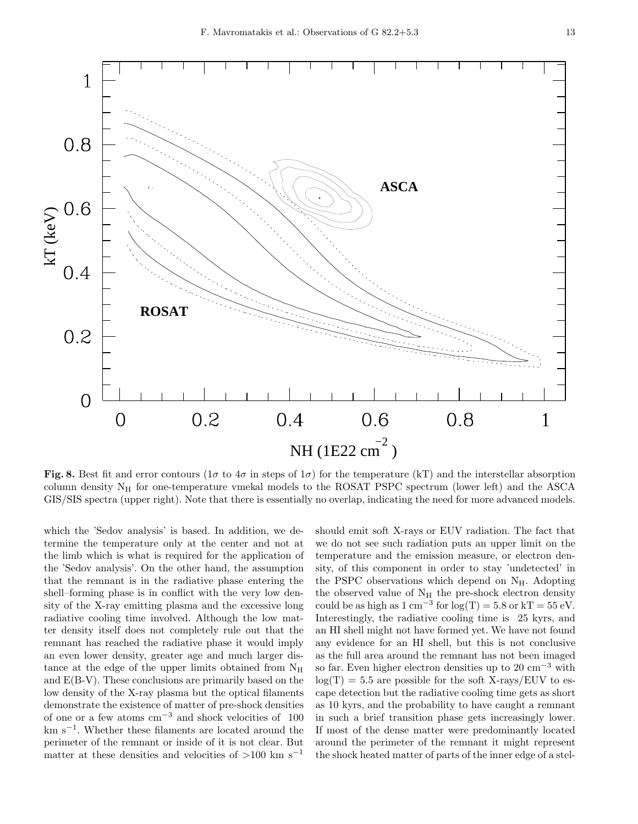

Fig. 8. Best fit and error contours ( $1\sigma$  to  $4\sigma$  in steps of  $1\sigma$ ) for the temperature (kT) and the interstellar absorption column density  $N_H$  for one-temperature vmekal models to the ROSAT PSPC spectrum (lower left) and the ASCA GIS/SIS spectra (upper right). Note that there is essentially no overlap, indicating the need for more advanced models.

which the 'Sedov analysis' is based. In addition, we determine the temperature only at the center and not at the limb which is what is required for the application of the 'Sedov analysis'. On the other hand, the assumption that the remnant is in the radiative phase entering the shell–forming phase is in conflict with the very low density of the X-ray emitting plasma and the excessive long radiative cooling time involved. Although the low matter density itself does not completely rule out that the remnant has reached the radiative phase it would imply an even lower density, greater age and much larger distance at the edge of the upper limits obtained from  $N_H$ and E(B-V). These conclusions are primarily based on the low density of the X-ray plasma but the optical filaments demonstrate the existence of matter of pre-shock densities of one or a few atoms cm<sup>−</sup><sup>3</sup> and shock velocities of 100 km s<sup>−</sup><sup>1</sup> . Whether these filaments are located around the perimeter of the remnant or inside of it is not clear. But matter at these densities and velocities of  $>100$  km s<sup>-1</sup> should emit soft X-rays or EUV radiation. The fact that we do not see such radiation puts an upper limit on the temperature and the emission measure, or electron density, of this component in order to stay 'undetected' in the PSPC observations which depend on  $N_{\rm H}$ . Adopting the observed value of  $\rm N_H$  the pre-shock electron density could be as high as  $1 \text{ cm}^{-3}$  for  $\log(T) = 5.8 \text{ or } kT = 55 \text{ eV}$ . Interestingly, the radiative cooling time is 25 kyrs, and an HI shell might not have formed yet. We have not found any evidence for an HI shell, but this is not conclusive as the full area around the remnant has not been imaged so far. Even higher electron densities up to 20 cm<sup>-3</sup> with  $log(T) = 5.5$  are possible for the soft X-rays/EUV to escape detection but the radiative cooling time gets as short as 10 kyrs, and the probability to have caught a remnant in such a brief transition phase gets increasingly lower. If most of the dense matter were predominantly located around the perimeter of the remnant it might represent the shock heated matter of parts of the inner edge of a stel